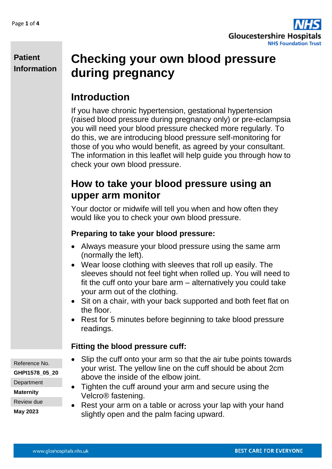

**Patient Information**

# **Checking your own blood pressure during pregnancy**

## **Introduction**

If you have chronic hypertension, gestational hypertension (raised blood pressure during pregnancy only) or pre-eclampsia you will need your blood pressure checked more regularly. To do this, we are introducing blood pressure self-monitoring for those of you who would benefit, as agreed by your consultant. The information in this leaflet will help guide you through how to check your own blood pressure.

### **How to take your blood pressure using an upper arm monitor**

Your doctor or midwife will tell you when and how often they would like you to check your own blood pressure.

#### **Preparing to take your blood pressure:**

- Always measure your blood pressure using the same arm (normally the left).
- Wear loose clothing with sleeves that roll up easily. The sleeves should not feel tight when rolled up. You will need to fit the cuff onto your bare arm – alternatively you could take your arm out of the clothing.
- Sit on a chair, with your back supported and both feet flat on the floor.
- Rest for 5 minutes before beginning to take blood pressure readings.

#### **Fitting the blood pressure cuff:**

- Slip the cuff onto your arm so that the air tube points towards your wrist. The yellow line on the cuff should be about 2cm above the inside of the elbow joint.
- Tighten the cuff around your arm and secure using the Velcro® fastening.
- Rest your arm on a table or across your lap with your hand slightly open and the palm facing upward.

Reference No.

**GHPI1578\_05\_20**

**Department** 

**Maternity**

Review due

**May 2023**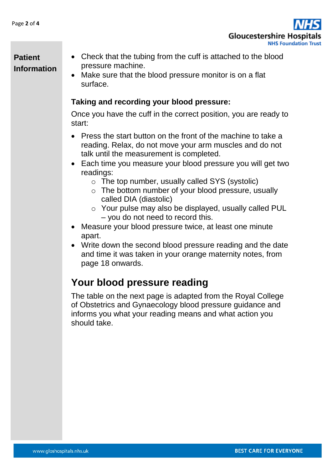

#### **Patient Information**

- Check that the tubing from the cuff is attached to the blood pressure machine.
- Make sure that the blood pressure monitor is on a flat surface.

#### **Taking and recording your blood pressure:**

Once you have the cuff in the correct position, you are ready to start:

- Press the start button on the front of the machine to take a reading. Relax, do not move your arm muscles and do not talk until the measurement is completed.
- Each time you measure your blood pressure you will get two readings:
	- o The top number, usually called SYS (systolic)
	- $\circ$  The bottom number of your blood pressure, usually called DIA (diastolic)
	- o Your pulse may also be displayed, usually called PUL – you do not need to record this.
- Measure your blood pressure twice, at least one minute apart.
- Write down the second blood pressure reading and the date and time it was taken in your orange maternity notes, from page 18 onwards.

## **Your blood pressure reading**

The table on the next page is adapted from the Royal College of Obstetrics and Gynaecology blood pressure guidance and informs you what your reading means and what action you should take.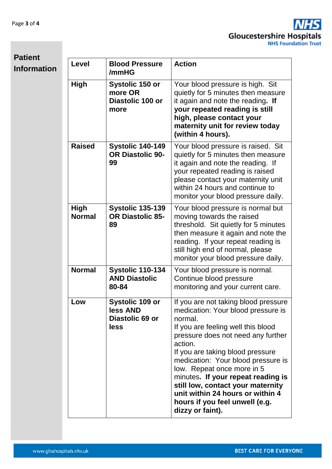

| <b>Patient</b> |  |
|----------------|--|
| Information    |  |

| <b>Level</b>          | <b>Blood Pressure</b><br>/mmHG                                | <b>Action</b>                                                                                                                                                                                                                                                                                                                                                                                                                                             |
|-----------------------|---------------------------------------------------------------|-----------------------------------------------------------------------------------------------------------------------------------------------------------------------------------------------------------------------------------------------------------------------------------------------------------------------------------------------------------------------------------------------------------------------------------------------------------|
| <b>High</b>           | Systolic 150 or<br>more OR<br>Diastolic 100 or<br>more        | Your blood pressure is high. Sit<br>quietly for 5 minutes then measure<br>it again and note the reading. If<br>your repeated reading is still<br>high, please contact your<br>maternity unit for review today<br>(within 4 hours).                                                                                                                                                                                                                        |
| <b>Raised</b>         | <b>Systolic 140-149</b><br><b>OR Diastolic 90-</b><br>99      | Your blood pressure is raised. Sit<br>quietly for 5 minutes then measure<br>it again and note the reading. If<br>your repeated reading is raised<br>please contact your maternity unit<br>within 24 hours and continue to<br>monitor your blood pressure daily.                                                                                                                                                                                           |
| High<br><b>Normal</b> | <b>Systolic 135-139</b><br><b>OR Diastolic 85-</b><br>89      | Your blood pressure is normal but<br>moving towards the raised<br>threshold. Sit quietly for 5 minutes<br>then measure it again and note the<br>reading. If your repeat reading is<br>still high end of normal, please<br>monitor your blood pressure daily.                                                                                                                                                                                              |
| <b>Normal</b>         | <b>Systolic 110-134</b><br><b>AND Diastolic</b><br>80-84      | Your blood pressure is normal.<br>Continue blood pressure<br>monitoring and your current care.                                                                                                                                                                                                                                                                                                                                                            |
| Low                   | <b>Systolic 109 or</b><br>less AND<br>Diastolic 69 or<br>less | If you are not taking blood pressure<br>medication: Your blood pressure is<br>normal.<br>If you are feeling well this blood<br>pressure does not need any further<br>action.<br>If you are taking blood pressure<br>medication: Your blood pressure is<br>low. Repeat once more in 5<br>minutes. If your repeat reading is<br>still low, contact your maternity<br>unit within 24 hours or within 4<br>hours if you feel unwell (e.g.<br>dizzy or faint). |